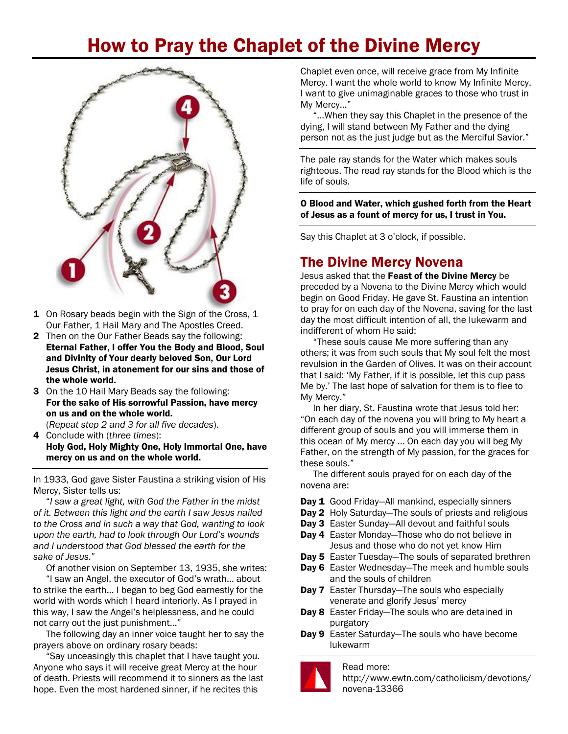## How to Pray the Chaplet of the Divine Mercy



- 1 On Rosary beads begin with the Sign of the Cross, 1 Our Father, 1 Hail Mary and The Apostles Creed.
- 2 Then on the Our Father Beads say the following: Eternal Father, I offer You the Body and Blood, Soul and Divinity of Your dearly beloved Son, Our Lord Jesus Christ, in atonement for our sins and those of the whole world.
- 3 On the 10 Hail Mary Beads say the following: For the sake of His sorrowful Passion, have mercy on us and on the whole world.
- (*Repeat step 2 and 3 for all five decades*). 4 Conclude with (*three times*):

Holy God, Holy Mighty One, Holy Immortal One, have mercy on us and on the whole world.

In 1933, God gave Sister Faustina a striking vision of His Mercy, Sister tells us:

"*I saw a great light, with God the Father in the midst of it. Between this light and the earth I saw Jesus nailed to the Cross and in such a way that God, wanting to look upon the earth, had to look through Our Lord's wounds and I understood that God blessed the earth for the sake of Jesus.*"

Of another vision on September 13, 1935, she writes:

"I saw an Angel, the executor of God's wrath… about to strike the earth… I began to beg God earnestly for the world with words which I heard interiorly. As I prayed in this way, I saw the Angel's helplessness, and he could not carry out the just punishment…"

The following day an inner voice taught her to say the prayers above on ordinary rosary beads:

"Say unceasingly this chaplet that I have taught you. Anyone who says it will receive great Mercy at the hour of death. Priests will recommend it to sinners as the last hope. Even the most hardened sinner, if he recites this

Chaplet even once, will receive grace from My Infinite Mercy. I want the whole world to know My Infinite Mercy. I want to give unimaginable graces to those who trust in My Mercy…"

"…When they say this Chaplet in the presence of the dying, I will stand between My Father and the dying person not as the just judge but as the Merciful Savior."

The pale ray stands for the Water which makes souls righteous. The read ray stands for the Blood which is the life of souls.

O Blood and Water, which gushed forth from the Heart of Jesus as a fount of mercy for us, I trust in You.

Say this Chaplet at 3 o'clock, if possible.

## The Divine Mercy Novena

Jesus asked that the Feast of the Divine Mercy be preceded by a Novena to the Divine Mercy which would begin on Good Friday. He gave St. Faustina an intention to pray for on each day of the Novena, saving for the last day the most difficult intention of all, the lukewarm and indifferent of whom He said:

"These souls cause Me more suffering than any others; it was from such souls that My soul felt the most revulsion in the Garden of Olives. It was on their account that I said: 'My Father, if it is possible, let this cup pass Me by.' The last hope of salvation for them is to flee to My Mercy."

In her diary, St. Faustina wrote that Jesus told her: "On each day of the novena you will bring to My heart a different group of souls and you will immerse them in this ocean of My mercy … On each day you will beg My Father, on the strength of My passion, for the graces for these souls."

The different souls prayed for on each day of the novena are:

- Day 1 [Good Friday](http://www.ewtn.com/devotionals/mercy/novena.htm#1)–All mankind, especially sinners
- **Day 2** [Holy Saturday](http://www.ewtn.com/devotionals/mercy/novena.htm#2)–The souls of priests and religious
- Day 3 [Easter Sunday](http://www.ewtn.com/devotionals/mercy/novena.htm#3)–All devout and faithful souls
- Day 4 [Easter Monday](http://www.ewtn.com/devotionals/mercy/novena.htm#4)-Those who do not believe in Jesus and those who do not yet know Him
- Day 5 [Easter Tuesday](http://www.ewtn.com/devotionals/mercy/novena.htm#5)–The souls of separated brethren
- Day 6 [Easter Wednesday](http://www.ewtn.com/devotionals/mercy/novena.htm#6)–The meek and humble souls and the souls of children
- Day 7 [Easter Thursday](http://www.ewtn.com/devotionals/mercy/novena.htm#7)–The souls who especially venerate and glorify Jesus' mercy
- Day 8 [Easter Friday](http://www.ewtn.com/devotionals/mercy/novena.htm#8)–The souls who are detained in purgatory
- Day 9 [Easter Saturday](http://www.ewtn.com/devotionals/mercy/novena.htm#9)–The souls who have become lukewarm

## Read more:



[http://www.ewtn.com/c](http://www.ewtn.com/devotionals/mercy/dmmap.htm#ixzz2vIZGKUAg)atholicism/devotions/ novena-13366